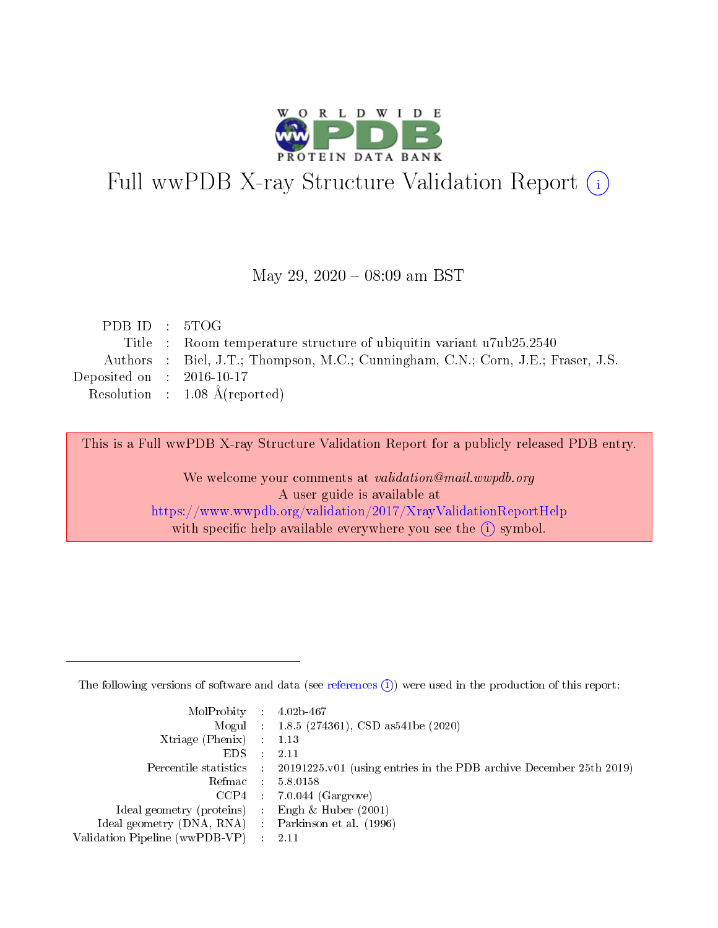

# Full wwPDB X-ray Structure Validation Report (i)

#### May 29,  $2020 - 08:09$  am BST

| PDBID : 5TOG                                                                     |
|----------------------------------------------------------------------------------|
| Title : Room temperature structure of ubiquitine variant u7ub25.2540             |
| Authors : Biel, J.T.; Thompson, M.C.; Cunningham, C.N.; Corn, J.E.; Fraser, J.S. |
| Deposited on : $2016-10-17$                                                      |
| Resolution : $1.08 \text{ Å}$ (reported)                                         |
|                                                                                  |

This is a Full wwPDB X-ray Structure Validation Report for a publicly released PDB entry.

We welcome your comments at validation@mail.wwpdb.org A user guide is available at <https://www.wwpdb.org/validation/2017/XrayValidationReportHelp> with specific help available everywhere you see the  $(i)$  symbol.

The following versions of software and data (see [references](https://www.wwpdb.org/validation/2017/XrayValidationReportHelp#references)  $(1)$ ) were used in the production of this report:

| MolProbity : $4.02b-467$                            |                                                                                            |
|-----------------------------------------------------|--------------------------------------------------------------------------------------------|
|                                                     | Mogul : $1.8.5$ (274361), CSD as 541be (2020)                                              |
| $Xtriangle (Phenix)$ : 1.13                         |                                                                                            |
| $EDS$ :                                             | -2.11                                                                                      |
|                                                     | Percentile statistics : 20191225.v01 (using entries in the PDB archive December 25th 2019) |
| Refmac : 5.8.0158                                   |                                                                                            |
|                                                     | $CCP4$ 7.0.044 (Gargrove)                                                                  |
| Ideal geometry (proteins) : Engh $\&$ Huber (2001)  |                                                                                            |
| Ideal geometry (DNA, RNA) : Parkinson et al. (1996) |                                                                                            |
| Validation Pipeline (wwPDB-VP) : 2.11               |                                                                                            |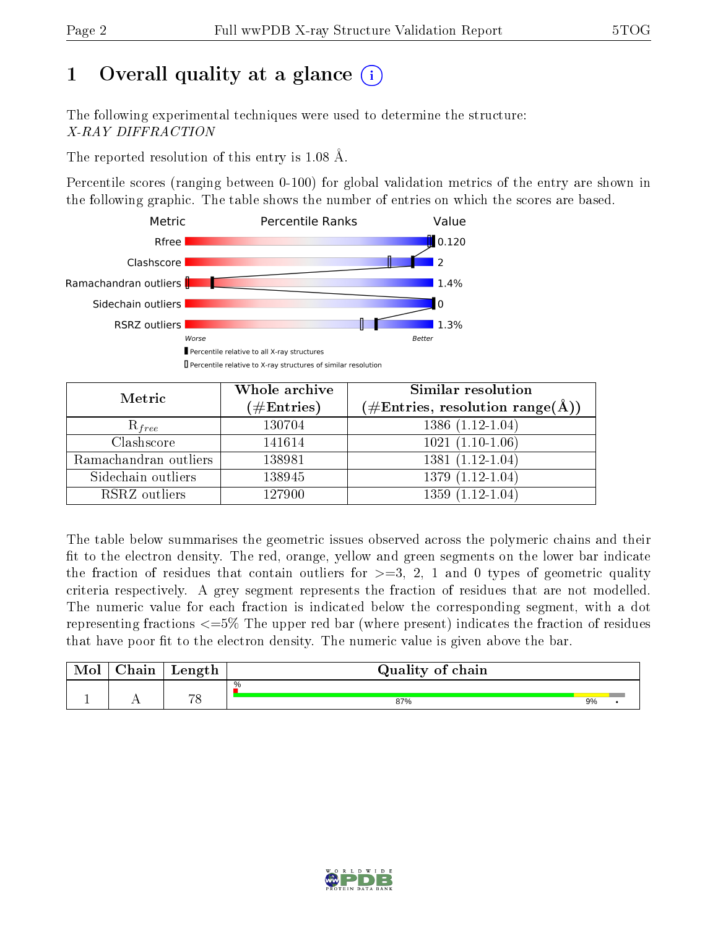# 1 [O](https://www.wwpdb.org/validation/2017/XrayValidationReportHelp#overall_quality)verall quality at a glance  $(i)$

The following experimental techniques were used to determine the structure: X-RAY DIFFRACTION

The reported resolution of this entry is 1.08 Å.

Percentile scores (ranging between 0-100) for global validation metrics of the entry are shown in the following graphic. The table shows the number of entries on which the scores are based.



| Metric                | Whole archive<br>$(\#\text{Entries})$ | <b>Similar resolution</b><br>$(\#\text{Entries}, \text{resolution range}(\text{\AA}))$ |  |
|-----------------------|---------------------------------------|----------------------------------------------------------------------------------------|--|
| $R_{free}$            | 130704                                | $1386(1.12-1.04)$                                                                      |  |
| Clashscore            | 141614                                | $1021(1.10-1.06)$                                                                      |  |
| Ramachandran outliers | 138981                                | $1381(1.12-1.04)$                                                                      |  |
| Sidechain outliers    | 138945                                | $1379(1.12-1.04)$                                                                      |  |
| RSRZ outliers         | 127900                                | $1359(1.12-1.04)$                                                                      |  |

The table below summarises the geometric issues observed across the polymeric chains and their fit to the electron density. The red, orange, yellow and green segments on the lower bar indicate the fraction of residues that contain outliers for  $>=3, 2, 1$  and 0 types of geometric quality criteria respectively. A grey segment represents the fraction of residues that are not modelled. The numeric value for each fraction is indicated below the corresponding segment, with a dot representing fractions  $\epsilon=5\%$  The upper red bar (where present) indicates the fraction of residues that have poor fit to the electron density. The numeric value is given above the bar.

| Mol | $\cap$ hain | Length   | Quality of chain |    |  |
|-----|-------------|----------|------------------|----|--|
|     |             |          | %                |    |  |
|     |             | $\neg$ 0 | 87%              | 9% |  |

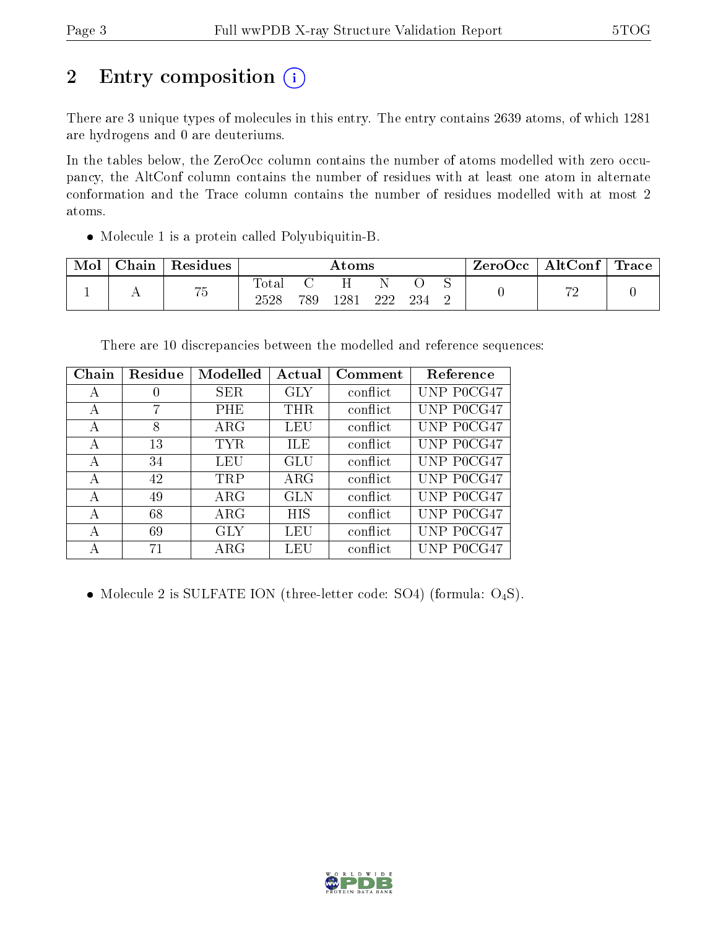# 2 Entry composition (i)

There are 3 unique types of molecules in this entry. The entry contains 2639 atoms, of which 1281 are hydrogens and 0 are deuteriums.

In the tables below, the ZeroOcc column contains the number of atoms modelled with zero occupancy, the AltConf column contains the number of residues with at least one atom in alternate conformation and the Trace column contains the number of residues modelled with at most 2 atoms.

Molecule 1 is a protein called Polyubiquitin-B.

| Mol | ${\rm Chain}$ | Residues                          | $\rm{Atoms}$  |     |      |     | ZeroOcc | AltConf | $\perp$ Trace |    |  |
|-----|---------------|-----------------------------------|---------------|-----|------|-----|---------|---------|---------------|----|--|
|     |               | $\rightarrow$ $\rightarrow$<br>ιυ | Total<br>2528 | 789 | 1281 | 222 | 234     |         |               | mς |  |

There are 10 discrepancies between the modelled and reference sequences:

| Chain | Residue | Modelled    | Actual     | Comment  | Reference  |
|-------|---------|-------------|------------|----------|------------|
| А     | U       | SER         | <b>GLY</b> | conflict | UNP P0CG47 |
| А     |         | PHE         | THR        | conflict | UNP P0CG47 |
| А     | 8       | $\rm{ARG}$  | LEU        | conflict | UNP P0CG47 |
| А     | 13      | <b>TYR</b>  | ILE        | conflict | UNP P0CG47 |
| А     | 34      | LEU         | GLU        | conflict | UNP P0CG47 |
| А     | 42      | <b>TRP</b>  | $\rm{ARG}$ | conflict | UNP P0CG47 |
| А     | 49      | $\rm{ARG}$  | <b>GLN</b> | conflict | UNP P0CG47 |
| А     | 68      | $\rm{ARG}$  | <b>HIS</b> | conflict | UNP P0CG47 |
| А     | 69      | <b>GLY</b>  | LEU        | conflict | UNP P0CG47 |
| А     | 71      | ${\rm ARG}$ | LEU        | conflict | UNP POCG47 |

• Molecule 2 is SULFATE ION (three-letter code: SO4) (formula:  $O_4S$ ).

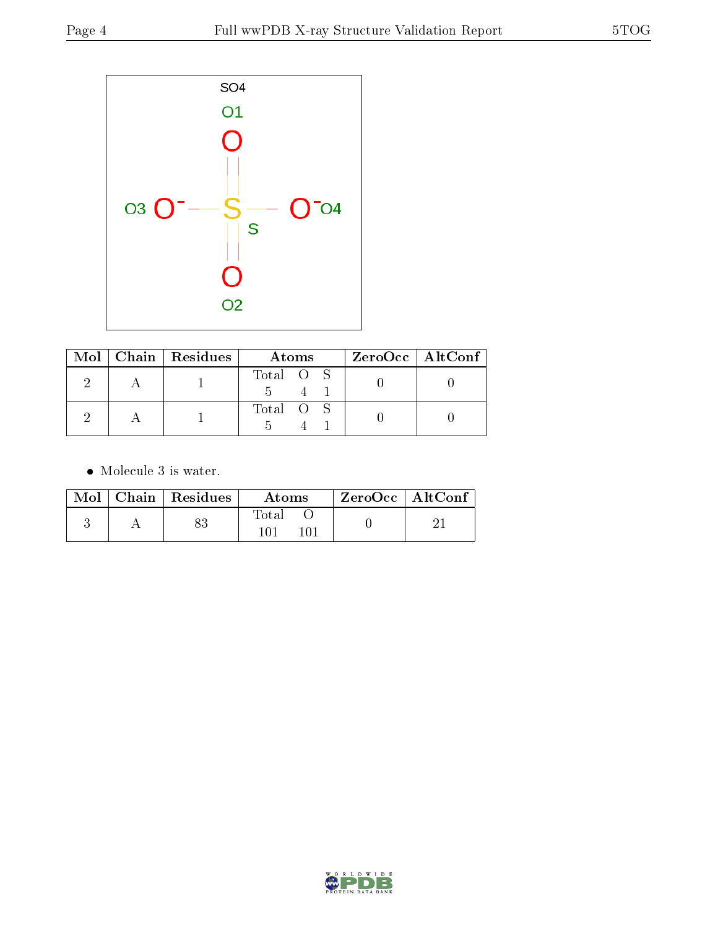

|  | $Mol$   Chain   Residues | Atoms     | $ZeroOcc \mid AltConf \mid$ |
|--|--------------------------|-----------|-----------------------------|
|  |                          | Total O S |                             |
|  |                          | Total O S |                             |

• Molecule 3 is water.

|  | $Mol$   Chain   Residues | Atoms | $ZeroOcc$   AltConf |  |
|--|--------------------------|-------|---------------------|--|
|  |                          | Total |                     |  |

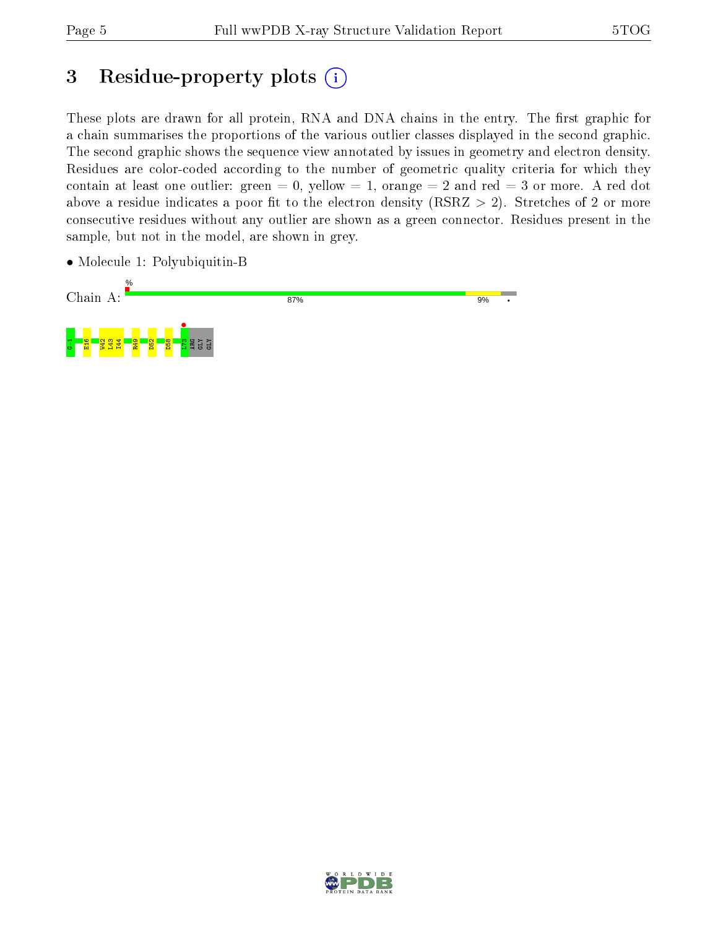## 3 Residue-property plots  $(i)$

These plots are drawn for all protein, RNA and DNA chains in the entry. The first graphic for a chain summarises the proportions of the various outlier classes displayed in the second graphic. The second graphic shows the sequence view annotated by issues in geometry and electron density. Residues are color-coded according to the number of geometric quality criteria for which they contain at least one outlier: green  $= 0$ , yellow  $= 1$ , orange  $= 2$  and red  $= 3$  or more. A red dot above a residue indicates a poor fit to the electron density (RSRZ  $> 2$ ). Stretches of 2 or more consecutive residues without any outlier are shown as a green connector. Residues present in the sample, but not in the model, are shown in grey.

• Molecule 1: Polyubiquitin-B



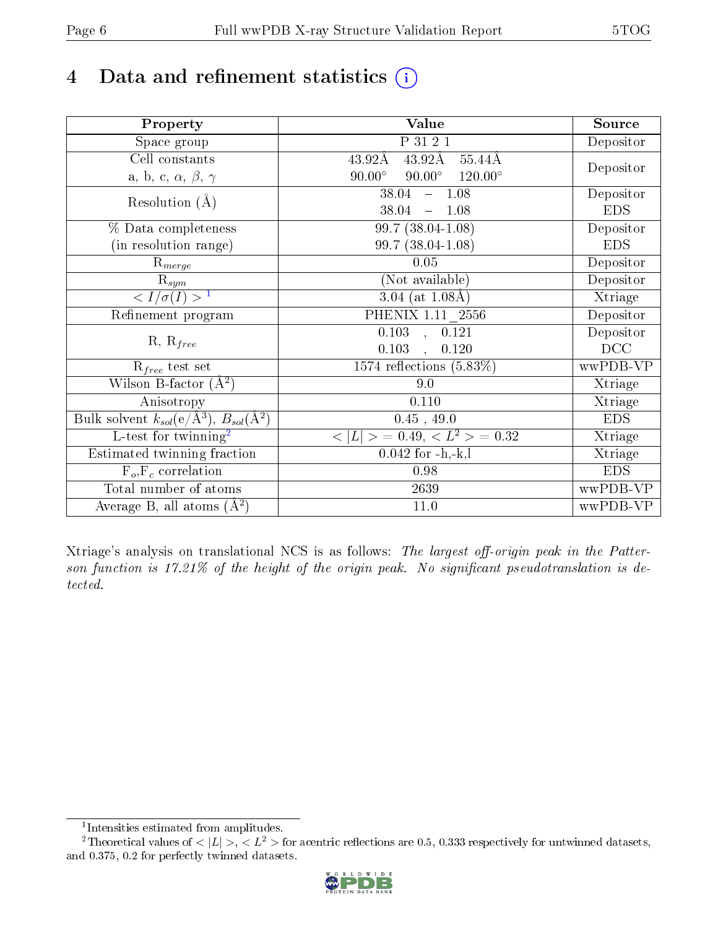# 4 Data and refinement statistics  $(i)$

| Property                                                         | Value                                            | Source     |
|------------------------------------------------------------------|--------------------------------------------------|------------|
| Space group                                                      | P 31 2 1                                         | Depositor  |
| Cell constants                                                   | $43.92\text{\AA}$<br>$55.44\text{\AA}$<br>43.92Å |            |
| a, b, c, $\alpha$ , $\beta$ , $\gamma$                           | $90.00^\circ$<br>$120.00^\circ$<br>$90.00^\circ$ | Depositor  |
| Resolution $(A)$                                                 | $-1.08$<br>38.04                                 | Depositor  |
|                                                                  | 38.04<br>$-1.08$                                 | <b>EDS</b> |
| % Data completeness                                              | 99.7 (38.04-1.08)                                | Depositor  |
| (in resolution range)                                            | 99.7 (38.04-1.08)                                | <b>EDS</b> |
| $R_{merge}$                                                      | 0.05                                             | Depositor  |
| $\mathrm{R}_{sym}$                                               | (Not available)                                  | Depositor  |
| $\sqrt{I/\sigma(I)} > 1$                                         | 3.04 (at $1.08\text{\AA}$ )                      | Xtriage    |
| Refinement program                                               | PHENIX $1.11$ <sub>-2556</sub>                   | Depositor  |
|                                                                  | $\overline{0.103}$ ,<br>0.121                    | Depositor  |
| $R, R_{free}$                                                    | 0.103<br>0.120<br>$\ddot{\phantom{0}}$           | DCC        |
| $R_{free}$ test set                                              | $1574$ reflections $(5.83\%)$                    | wwPDB-VP   |
| Wilson B-factor $(A^2)$                                          | 9.0                                              | Xtriage    |
| Anisotropy                                                       | 0.110                                            | Xtriage    |
| Bulk solvent $k_{sol}(\text{e}/\text{A}^3), B_{sol}(\text{A}^2)$ | $0.45$ , 49.0                                    | <b>EDS</b> |
| $\overline{L-test for }$ twinning <sup>2</sup>                   | $< L >$ = 0.49, $< L^2 >$ = 0.32                 | Xtriage    |
| Estimated twinning fraction                                      | $0.042$ for $-h,-k,l$                            | Xtriage    |
| $F_o, F_c$ correlation                                           | 0.98                                             | <b>EDS</b> |
| Total number of atoms                                            | 2639                                             | wwPDB-VP   |
| Average B, all atoms $(A^2)$                                     | 11.0                                             | wwPDB-VP   |

Xtriage's analysis on translational NCS is as follows: The largest off-origin peak in the Patterson function is  $17.21\%$  of the height of the origin peak. No significant pseudotranslation is detected.

<sup>&</sup>lt;sup>2</sup>Theoretical values of  $\langle |L| \rangle$ ,  $\langle L^2 \rangle$  for acentric reflections are 0.5, 0.333 respectively for untwinned datasets, and 0.375, 0.2 for perfectly twinned datasets.



<span id="page-5-1"></span><span id="page-5-0"></span><sup>1</sup> Intensities estimated from amplitudes.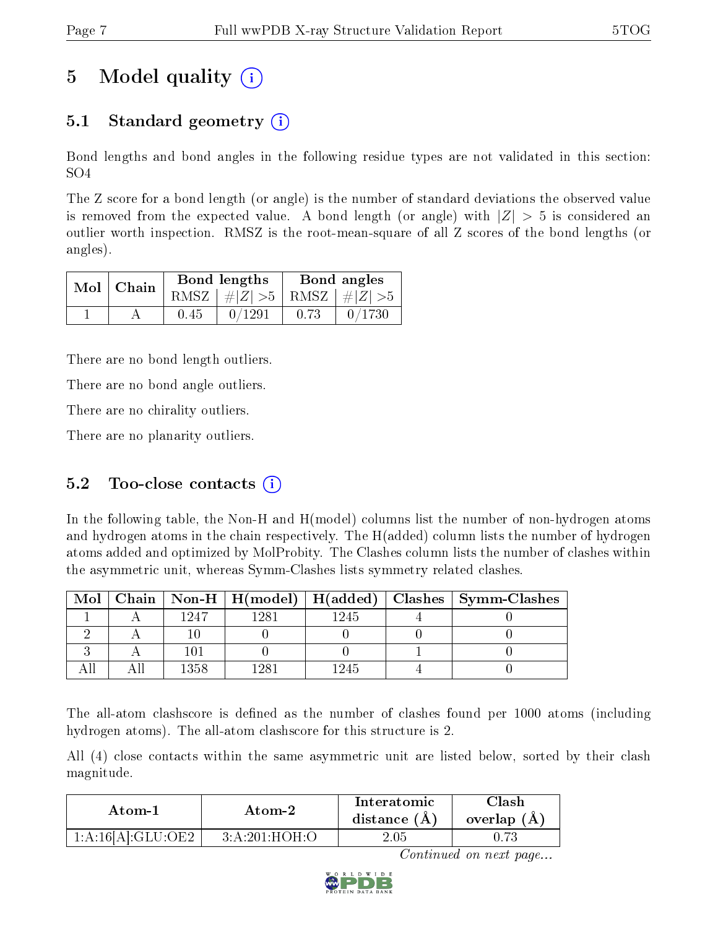# 5 Model quality  $(i)$

### 5.1 Standard geometry (i)

Bond lengths and bond angles in the following residue types are not validated in this section: SO4

The Z score for a bond length (or angle) is the number of standard deviations the observed value is removed from the expected value. A bond length (or angle) with  $|Z| > 5$  is considered an outlier worth inspection. RMSZ is the root-mean-square of all Z scores of the bond lengths (or angles).

| $Mol$   Chain |      | Bond lengths                    | Bond angles |                                                                    |  |
|---------------|------|---------------------------------|-------------|--------------------------------------------------------------------|--|
|               |      | RMSZ $ #Z  > 5$ RMSZ $ #Z  > 5$ |             |                                                                    |  |
|               | 0.45 | 0/1291                          | 0.73        | $\begin{array}{c} \begin{array}{c} \end{array} \end{array}$ 0/1730 |  |

There are no bond length outliers.

There are no bond angle outliers.

There are no chirality outliers.

There are no planarity outliers.

### 5.2 Too-close contacts  $(i)$

In the following table, the Non-H and H(model) columns list the number of non-hydrogen atoms and hydrogen atoms in the chain respectively. The H(added) column lists the number of hydrogen atoms added and optimized by MolProbity. The Clashes column lists the number of clashes within the asymmetric unit, whereas Symm-Clashes lists symmetry related clashes.

| Mol |      |      |      | Chain   Non-H   H(model)   H(added)   Clashes   Symm-Clashes |
|-----|------|------|------|--------------------------------------------------------------|
|     | 1947 | 1281 | 1245 |                                                              |
|     |      |      |      |                                                              |
|     |      |      |      |                                                              |
|     | 1358 |      | 1245 |                                                              |

The all-atom clashscore is defined as the number of clashes found per 1000 atoms (including hydrogen atoms). The all-atom clashscore for this structure is 2.

All (4) close contacts within the same asymmetric unit are listed below, sorted by their clash magnitude.

| Atom-1            | Atom-2        | Interatomic<br>distance $(A)$ | Clash<br>overlap $(A)$ |
|-------------------|---------------|-------------------------------|------------------------|
| 1:A:16[A]:GLU:OE2 | 3:A:201:HOH:O | 2.05                          |                        |

Continued on next page...

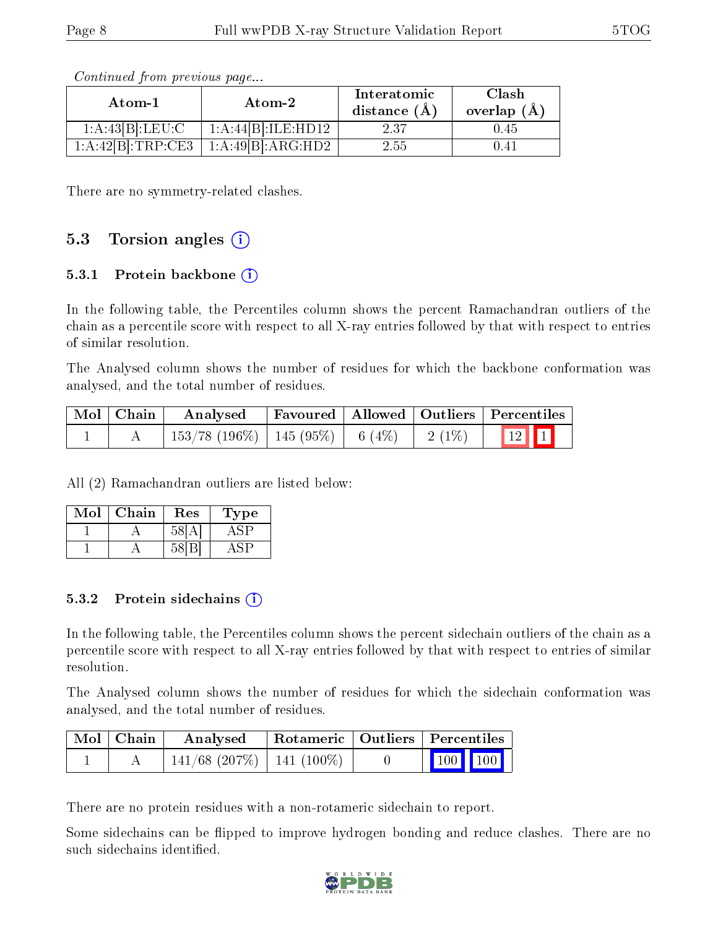| Atom-1            | $\boldsymbol{\mathrm{Atom}\text{-}2}$ | Interatomic<br>distance $(\AA)$ | Clash<br>overlap $(A)$ |  |
|-------------------|---------------------------------------|---------------------------------|------------------------|--|
| 1:A:43[B]:LEU:C   | $1:A:44[B]:ILE:HD\overline{12}$       | 237                             | 0.45                   |  |
| 1:A:42[B]:TRP:CE3 | 1:A:49[B]:ARG:HD2                     | 2.55                            | 0.41                   |  |

Continued from previous page...

There are no symmetry-related clashes.

### 5.3 Torsion angles  $(i)$

#### 5.3.1 Protein backbone  $(i)$

In the following table, the Percentiles column shows the percent Ramachandran outliers of the chain as a percentile score with respect to all X-ray entries followed by that with respect to entries of similar resolution.

The Analysed column shows the number of residues for which the backbone conformation was analysed, and the total number of residues.

| $\mid$ Mol $\mid$ Chain $\mid$ | Analysed                                | Favoured   Allowed   Outliers   Percentiles |  |          |                                                        |  |
|--------------------------------|-----------------------------------------|---------------------------------------------|--|----------|--------------------------------------------------------|--|
|                                | $153/78$ (196\%)   145 (95\%)   6 (4\%) |                                             |  | $2(1\%)$ | $\begin{array}{ c c c c }\n\hline\n&12&1\n\end{array}$ |  |

All (2) Ramachandran outliers are listed below:

| Mol | Chain | $\operatorname{Res}% \left( \mathcal{N}\right) \equiv\operatorname{Res}(\mathcal{N}_{0})\cap\mathcal{N}_{1}$ | Type |
|-----|-------|--------------------------------------------------------------------------------------------------------------|------|
|     |       | 58                                                                                                           |      |
|     |       |                                                                                                              |      |

#### 5.3.2 Protein sidechains (i)

In the following table, the Percentiles column shows the percent sidechain outliers of the chain as a percentile score with respect to all X-ray entries followed by that with respect to entries of similar resolution.

The Analysed column shows the number of residues for which the sidechain conformation was analysed, and the total number of residues.

| Mol   Chain | Analysed                       | Rotameric   Outliers   Percentiles |                                                          |  |
|-------------|--------------------------------|------------------------------------|----------------------------------------------------------|--|
|             | $141/68$ (207\%)   141 (100\%) |                                    | $\begin{array}{ c c c }\n\hline\n100 & 100\n\end{array}$ |  |

There are no protein residues with a non-rotameric sidechain to report.

Some sidechains can be flipped to improve hydrogen bonding and reduce clashes. There are no such sidechains identified.

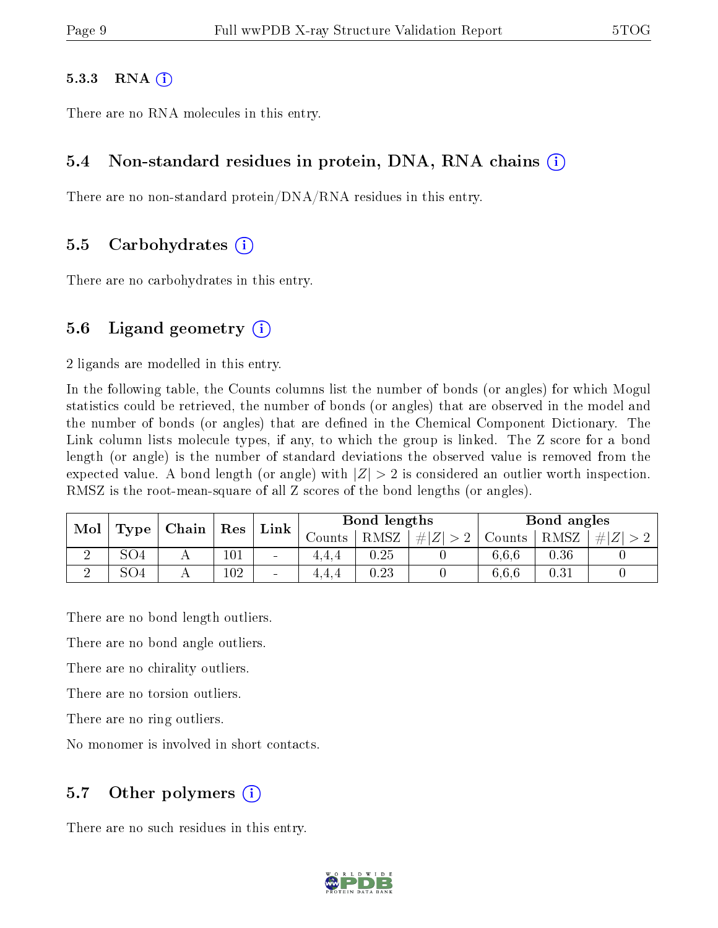#### $5.3.3$  RNA  $(i)$

There are no RNA molecules in this entry.

#### 5.4 Non-standard residues in protein, DNA, RNA chains (i)

There are no non-standard protein/DNA/RNA residues in this entry.

#### 5.5 Carbohydrates (i)

There are no carbohydrates in this entry.

#### 5.6 Ligand geometry  $(i)$

2 ligands are modelled in this entry.

In the following table, the Counts columns list the number of bonds (or angles) for which Mogul statistics could be retrieved, the number of bonds (or angles) that are observed in the model and the number of bonds (or angles) that are defined in the Chemical Component Dictionary. The Link column lists molecule types, if any, to which the group is linked. The Z score for a bond length (or angle) is the number of standard deviations the observed value is removed from the expected value. A bond length (or angle) with  $|Z| > 2$  is considered an outlier worth inspection. RMSZ is the root-mean-square of all Z scores of the bond lengths (or angles).

| Mol | Type            | Chain      |     |                          |         |          |         |        |      |  |  |  |  |  |  |  | Res | $^{\circ}$ Link $_{\circ}$ |  | Bond lengths |  |  | Bond angles |  |  |
|-----|-----------------|------------|-----|--------------------------|---------|----------|---------|--------|------|--|--|--|--|--|--|--|-----|----------------------------|--|--------------|--|--|-------------|--|--|
|     |                 |            |     |                          | Counts- | RMSZ     | $\# Z $ | Counts | RMSZ |  |  |  |  |  |  |  |     |                            |  |              |  |  |             |  |  |
|     | SO <sub>4</sub> | - 1        | 101 | $\sim$                   | 4.4.4   | $0.25\,$ |         | 6.6.6  | 0.36 |  |  |  |  |  |  |  |     |                            |  |              |  |  |             |  |  |
|     | SO <sub>4</sub> | . <b>.</b> | 102 | $\overline{\phantom{a}}$ | 4,4,4   | $0.23\,$ |         | 6.6.6  | 0.31 |  |  |  |  |  |  |  |     |                            |  |              |  |  |             |  |  |

There are no bond length outliers.

There are no bond angle outliers.

There are no chirality outliers.

There are no torsion outliers.

There are no ring outliers.

No monomer is involved in short contacts.

### 5.7 [O](https://www.wwpdb.org/validation/2017/XrayValidationReportHelp#nonstandard_residues_and_ligands)ther polymers  $(i)$

There are no such residues in this entry.

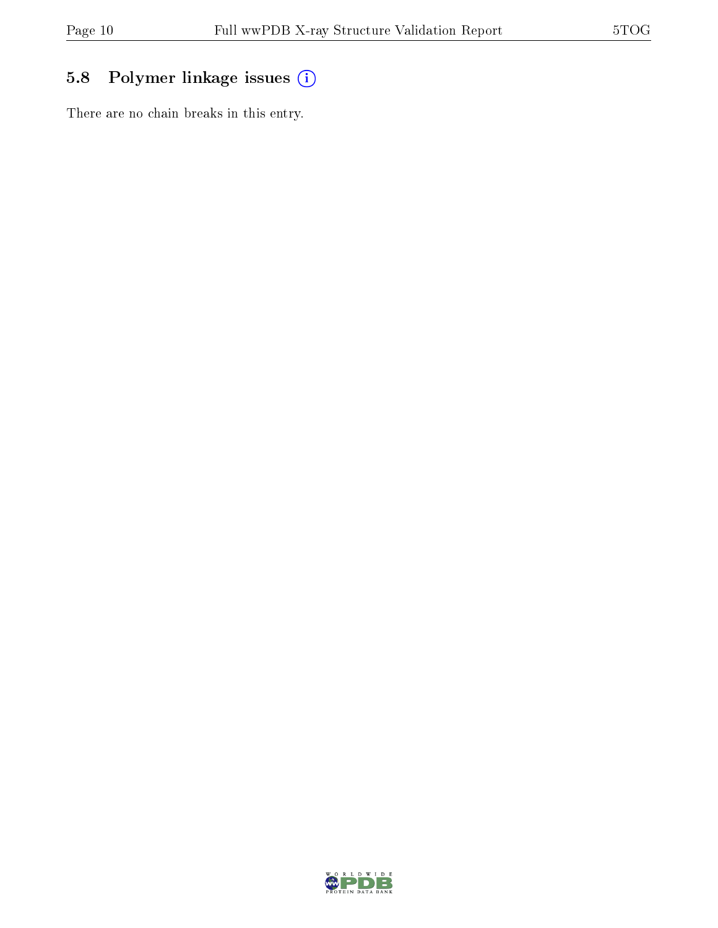## 5.8 Polymer linkage issues (i)

There are no chain breaks in this entry.